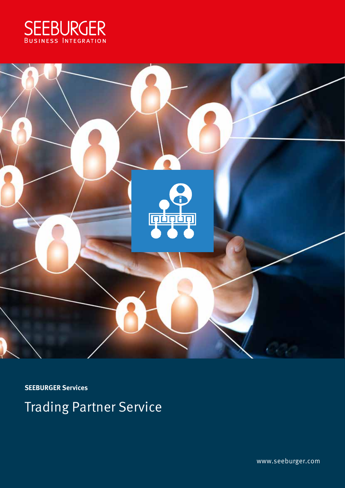



**SEEBURGER Services**

Trading Partner Service

[www.seeburger.com](https://www.seeburger.com)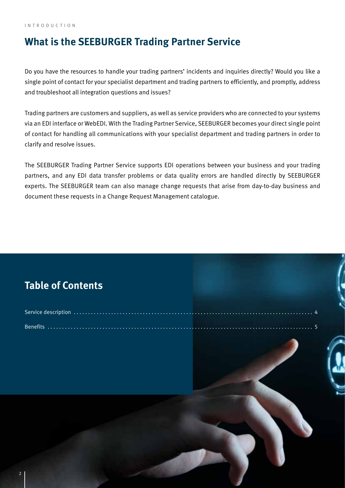#### INTRODUCTION

## **What is the SEEBURGER Trading Partner Service**

Do you have the resources to handle your trading partners' incidents and inquiries directly? Would you like a single point of contact for your specialist department and trading partners to efficiently, and promptly, address and troubleshoot all integration questions and issues?

Trading partners are customers and suppliers, as well as service providers who are connected to your systems via an EDI interface or WebEDI. With the Trading Partner Service, SEEBURGER becomes your direct single point of contact for handling all communications with your specialist department and trading partners in order to clarify and resolve issues.

The SEEBURGER Trading Partner Service supports EDI operations between your business and your trading partners, and any EDI data transfer problems or data quality errors are handled directly by SEEBURGER experts. The SEEBURGER team can also manage change requests that arise from day-to-day business and document these requests in a Change Request Management catalogue.

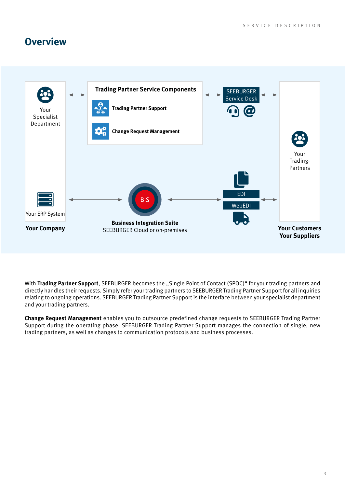### **Overview**



With Trading Partner Support, SEEBURGER becomes the "Single Point of Contact (SPOC)" for your trading partners and directly handles their requests. Simply refer your trading partners to SEEBURGER Trading Partner Support for all inquiries relating to ongoing operations. SEEBURGER Trading Partner Support is the interface between your specialist department and your trading partners.

**Change Request Management** enables you to outsource predefined change requests to SEEBURGER Trading Partner Support during the operating phase. SEEBURGER Trading Partner Support manages the connection of single, new trading partners, as well as changes to communication protocols and business processes.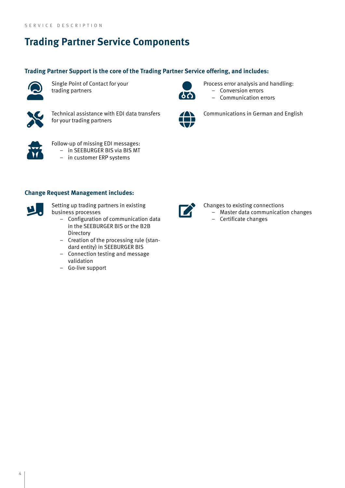# **Trading Partner Service Components**

### **Trading Partner Support is the core of the Trading Partner Service offering, and includes:**



Single Point of Contact for your trading partners



Technical assistance with EDI data transfers for your trading partners



Process error analysis and handling: – Conversion errors – Communication errors



Communications in German and English



Follow-up of missing EDI messages: – in SEEBURGER BIS via BIS MT – in customer ERP systems

#### **Change Request Management includes:**



Setting up trading partners in existing business processes

- Configuration of communication data in the SEEBURGER BIS or the B2B Directory
- Creation of the processing rule (standard entity) in SEEBURGER BIS
- Connection testing and message validation
- Go-live support



Changes to existing connections – Master data communication changes

– Certificate changes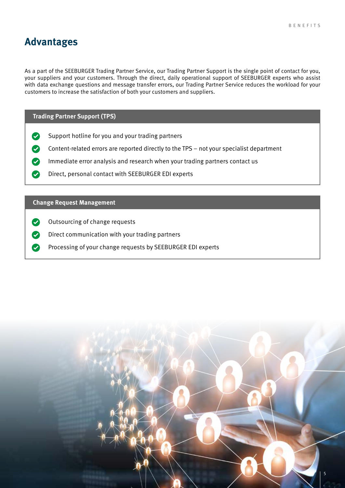### **Advantages**

As a part of the SEEBURGER Trading Partner Service, our Trading Partner Support is the single point of contact for you, your suppliers and your customers. Through the direct, daily operational support of SEEBURGER experts who assist with data exchange questions and message transfer errors, our Trading Partner Service reduces the workload for your customers to increase the satisfaction of both your customers and suppliers.

#### **Trading Partner Support (TPS)**

- $\bullet$ Support hotline for you and your trading partners
- $\bullet$ Content-related errors are reported directly to the TPS – not your specialist department
- $\bullet$ Immediate error analysis and research when your trading partners contact us
- Direct, personal contact with SEEBURGER EDI experts Ø

### **Change Request Management**

- Ø Outsourcing of change requests
- Direct communication with your trading partners  $\boldsymbol{\nu}$
- Processing of your change requests by SEEBURGER EDI experts  $\boldsymbol{\mathcal{S}}$